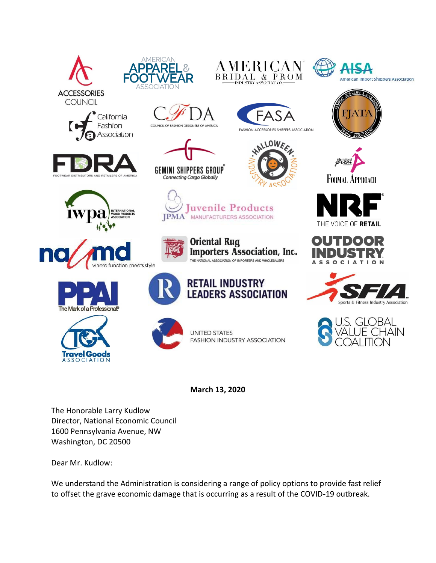



FASHION ACCESSORIES SHIPPERS ASSOCIATION

ALLOWEE



WELRY

















COUNCIL OF FASHION DESIGNERS OF AMERICA

uvenile Products **IPMA** MANUFACTURERS ASSOCIATION



**Oriental Rug Importers Association, Inc.** THE NATIONAL ASSOCIATION OF IMPORTERS AND WHOLESALERS



**RETAIL INDUSTRY LEADERS ASSOCIATION** 















**March 13, 2020**

The Honorable Larry Kudlow Director, National Economic Council 1600 Pennsylvania Avenue, NW Washington, DC 20500

Dear Mr. Kudlow:

We understand the Administration is considering a range of policy options to provide fast relief to offset the grave economic damage that is occurring as a result of the COVID-19 outbreak.